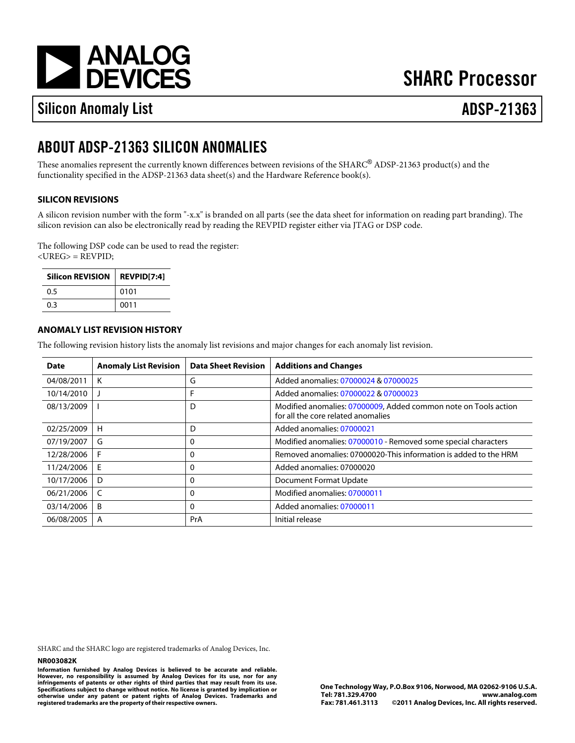[a](http://www.analog.com)

# **SHARC Processor**

# Silicon Anomaly List ADSP-21363

# ABOUT ADSP-21363 SILICON ANOMALIES

These anomalies represent the currently known differences between revisions of the SHARC®ADSP-21363 product(s) and the functionality specified in the ADSP-21363 data sheet(s) and the Hardware Reference book(s).

# SILICON REVISIONS

A silicon revision number with the form "-x.x" is branded on all parts (see the data sheet for information on reading part branding). The silicon revision can also be electronically read by reading the REVPID register either via JTAG or DSP code.

The following DSP code can be used to read the register: <UREG> = REVPID;

| Silicon REVISION REVPID[7:4] |      |
|------------------------------|------|
| 0.5                          | 0101 |
| 0.3                          | 0011 |

# ANOMALY LIST REVISION HISTORY

The following revision history lists the anomaly list revisions and major changes for each anomaly list revision.

| Date           | Anomaly List Revision | Data Sheet Revision I | <b>Additions and Changes</b>                                                                        |
|----------------|-----------------------|-----------------------|-----------------------------------------------------------------------------------------------------|
| 04/08/2011     | K                     | G                     | Added anomalies07000024&07000025                                                                    |
| 10/14/2010     |                       | F                     | Added anomalies07000022&07000023                                                                    |
| 08/13/2009     |                       | D                     | Modified anomalies 07000009 Added common note on Tools action<br>for all the core related anomalies |
| 02/25/2009   H |                       | D                     | Added anomalies07000021                                                                             |
| 07/19/2007     | G                     | 0                     | Modified anomalies07000010- Removed some special characters                                         |
| 12/28/2006     | F                     | 0                     | Removed anomalies 37000020 This information is added to the HRM                                     |
| 11/24/2006 E   |                       | 0                     | Added anomalies07000020                                                                             |
| 10/17/2006     | D                     | 0                     | Document Format Update                                                                              |
| 06/21/2006     | C                     | 0                     | Modified anomalies07000011                                                                          |
| 03/14/2006     | B                     | 0                     | Added anomalies07000011                                                                             |
| 06/08/2005     | $\overline{A}$        | PrA                   | Initial release                                                                                     |

SHARC and the SHARC logo are registered trademarks of Analog Devices, Inc.

#### NR003082K

Information furnished by Analog Devices is believed to be accurate and reliable. However, no responsibility is assumed by Analog Devices for its use, nor for any infringements of patents or other rights of third parties that may result from its use. Specifications subject to change without notice. No license is granted by implication or otherwise under any patent or patent rights of Analog Devices. Trademarks and registered trademarks are the property of their respective owners.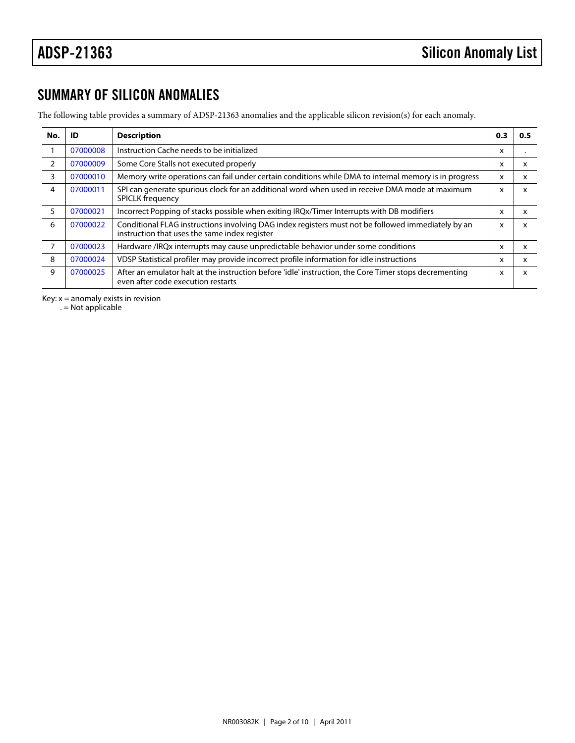# SUMMARY OF SILICON ANOMALIES

The following table provides a summary of ADSP-21363 anomalies and the applicable silicon revision(s) for each anomaly.

<span id="page-1-4"></span><span id="page-1-3"></span><span id="page-1-2"></span><span id="page-1-1"></span><span id="page-1-0"></span>

| No.            | ID       | Description                                                                                                                                         | 0.3 | 0.5 |
|----------------|----------|-----------------------------------------------------------------------------------------------------------------------------------------------------|-----|-----|
| $\overline{1}$ | 07000008 | Instruction Cache needs to be initialized                                                                                                           | x   |     |
| 2              | 07000009 | Some Core Stalls not executed properly                                                                                                              | X   | х   |
| 3              | 07000010 | Memory write operations can fail under certain conditions while DMA to internal memory is in progress x                                             |     | x   |
| 4              | 07000011 | SPI can generate spurious clock for an additional word when used in receive DMA mode at maximum x<br><b>SPICLK frequency</b>                        |     | x   |
| 5              | 07000021 | Incorrect Popping of stacks possible when exiting IRQx/Timer Interrupts with DB modifiers                                                           | x   | x   |
| 6              | 07000022 | Conditional FLAG instructions involving DAG index registers must not be followed immediately by an<br>instruction that uses the same index register | x   | x   |
| $\overline{7}$ | 07000023 | Hardware /IRQx interrupts may cause unpredictable behavior under some conditions                                                                    | х   | х   |
| 8              | 07000024 | VDSP Statistical profiler may provide incorrect profile information for idle instructions                                                           | x   | x   |
| 9              | 07000025 | After an emulator halt at the instruction before 'idle' instruction, the Core Timer stops decrementing<br>even after code execution restarts        | x   | x   |

<span id="page-1-8"></span><span id="page-1-7"></span><span id="page-1-6"></span><span id="page-1-5"></span>Key:  $x =$  anomaly exists in revision

. = Not applicable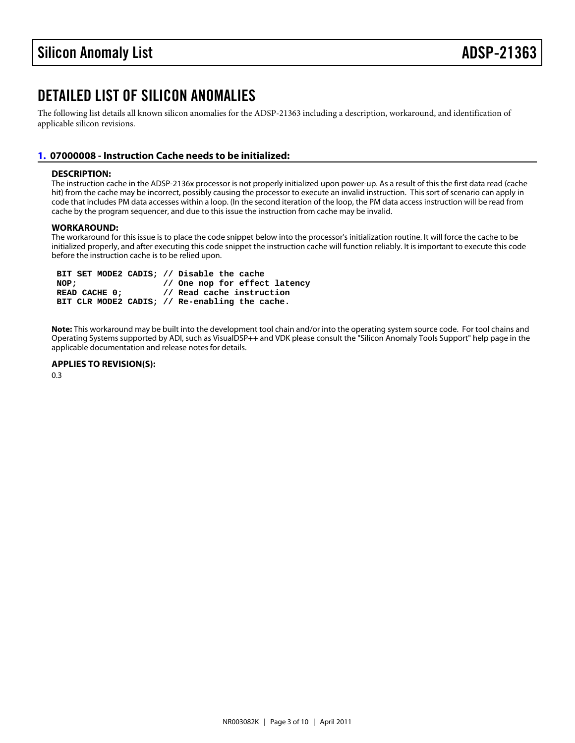# DETAILED LIST OF SILICON ANOMALIES

The following list details all known silicon anomalies for the ADSP-21363 including a description, workaround, and identification of applicable silicon revisions.

# <span id="page-2-0"></span>[1.](#page-1-0) 07000008 - Instruction Cache needs to be initialized:

### DESCRIPTION:

The instruction cache in the ADSP-2136x processor is not properly initialized upon power-up. As a result of this the first data read (cache hit) from the cache may be incorrect, possibly causing the processor to execute an invalid instruction. This sort of scenario can apply in code that includes PM data accesses within a loop. (In the second iteration of the loop, the PM data access instruction will be read from cache by the program sequencer, and due to this issue the instruction from cache may be invalid.

### WORKAROUND:

The workaround for this issue is to place the code snippet below into the processor's initialization routine. It will force the cache to be initialized properly, and after executing this code snippet the instruction cache will function reliably. It is important to execute this code before the instruction cache is to be relied upon.

BIT SET MODE2 CADIS; // Disable the cache<br>NOP; // One nop for effect latency // One nop for effect latency READ CACHE 0; // Read cache instruction BIT CLR MODE2 CADIS; // Re-enabling the cache.

Note: This workaround may be built into the development tool chain and/or into the operating system source code. For tool chains and Operating Systems supported by ADI, such as VisualDSP++ and VDK please consult the "Silicon Anomaly Tools Support" help page in the applicable documentation and release notes for details.

APPLIES TO REVISION(S):

0.3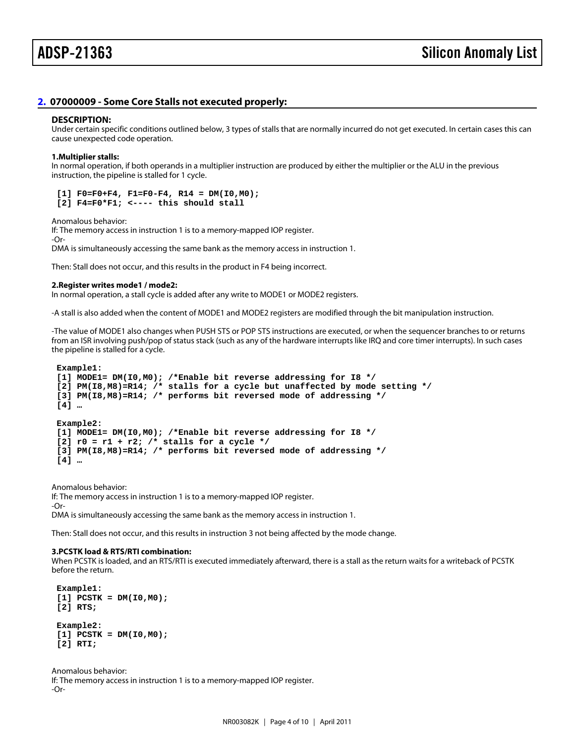# <span id="page-3-0"></span>[2.](#page-1-1) 07000009 - Some Core Stalls not executed properly:

#### DESCRIPTION:

Under certain specific conditions outlined below, 3 types of stalls that are normally incurred do not get executed. In certain cases this can cause unexpected code operation.

1.Multiplier stalls:

In normal operation, if both operands in a multiplier instruction are produced by either the multiplier or the ALU in the previous instruction, the pipeline is stalled for 1 cycle.

 $[1]$  F0=F0+F4, F1=F0-F4, R14 = DM(I0,M0);  $[2]$  F4=F0\*F1; <---- this should stall

Anomalous behavior:

If: The memory access in instruction 1 is to a memory-mapped IOP register. -Or-DMA is simultaneously accessing the same bank as the memory access in instruction 1.

Then: Stall does not occur, and this results in the product in F4 being incorrect.

2.Register writes mode1 / mode2:

In normal operation, a stall cycle is added after any write to MODE1 or MODE2 registers.

-A stall is also added when the content of MODE1 and MODE2 registers are modified through the bit manipulation instruction.

-The value of MODE1 also changes when PUSH STS or POP STS instructions are executed, or when the sequencer branches to or returns from an ISR involving push/pop of status stack (such as any of the hardware interrupts like IRQ and core timer interrupts). In such cases the pipeline is stalled for a cycle.

Example1:

 [1] MODE1= DM(I0,M0); /\*Enable bit reverse addressing for I8 \*/ [2] PM( $18$ , M8)=R14; /\* stalls for a cycle but unaffected by mode setting  $*/$  [3] PM(I8,M8)=R14; /\* performs bit reversed mode of addressing \*/ [4] …

Example2:

[1] MODE1= DM(I0,M0); /\*Enable bit reverse addressing for I8 \*/

 $[2]$  r0 = r1 + r2; /\* stalls for a cycle \*/

[3] PM(I8,M8)=R14; /\* performs bit reversed mode of addressing \*/

[4] …

Anomalous behavior:

If: The memory access in instruction 1 is to a memory-mapped IOP register.

-Or-

DMA is simultaneously accessing the same bank as the memory access in instruction 1.

Then: Stall does not occur, and this results in instruction 3 not being affected by the mode change.

3.PCSTK load & RTS/RTI combination:

When PCSTK is loaded, and an RTS/RTI is executed immediately afterward, there is a stall as the return waits for a writeback of PCSTK before the return.

 Example1:  $[1]$  PCSTK = DM(I0,M0); [2] RTS;

 Example2:  $[1]$  PCSTK = DM(I0,M0); [2] RTI;

Anomalous behavior: If: The memory access in instruction 1 is to a memory-mapped IOP register. -Or-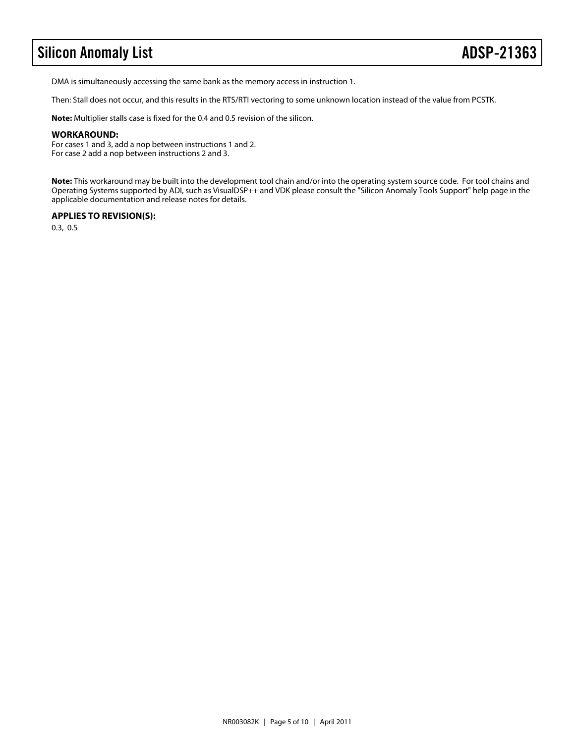# Silicon Anomaly List **ADSP-21363**

DMA is simultaneously accessing the same bank as the memory access in instruction 1.

Then: Stall does not occur, and this results in the RTS/RTI vectoring to some unknown location instead of the value from PCSTK.

**Note:** Multiplier stalls case is fixed for the 0.4 and 0.5 revision of the silicon.

### **WORKAROUND:**

For cases 1 and 3, add a nop between instructions 1 and 2. For case 2 add a nop between instructions 2 and 3.

**Note:** This workaround may be built into the development tool chain and/or into the operating system source code. For tool chains and Operating Systems supported by ADI, such as VisualDSP++ and VDK please consult the "Silicon Anomaly Tools Support" help page in the applicable documentation and release notes for details.

# **APPLIES TO REVISION(S):**

0.3, 0.5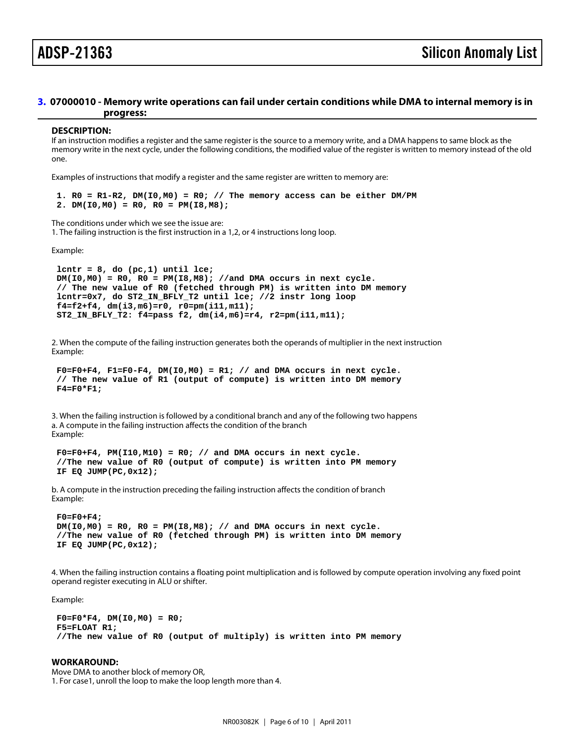# <span id="page-5-0"></span>[3.](#page-1-2) 07000010 - Memory write operations can fail under certain conditions while DMA to internal memory is in progress:

#### DESCRIPTION:

If an instruction modifies a register and the same register is the source to a memory write, and a DMA happens to same block as the memory write in the next cycle, under the following conditions, the modified value of the register is written to memory instead of the old one.

Examples of instructions that modify a register and the same register are written to memory are:

1.  $RO = R1-R2$ ,  $DM(10, MO) = R0$ ; // The memory access can be either DM/PM 2. DM( $10, M0$ ) = R0, R0 = PM( $18, M8$ );

The conditions under which we see the issue are: 1. The failing instruction is the first instruction in a 1,2, or 4 instructions long loop.

Example:

lcntr =  $8$ , do (pc, 1) until lce;  $DM(IO, MO) = RO$ ,  $RO = PM(IB, MB)$ ; //and DMA occurs in next cycle. // The new value of R0 (fetched through PM) is written into DM memory lcntr=0x7, do ST2\_IN\_BFLY\_T2 until lce; //2 instr long loop f4=f2+f4, dm(i3,m6)=r0, r0=pm(i11,m11); ST2\_IN\_BFLY\_T2: f4=pass f2, dm(i4,m6)=r4, r2=pm(i11,m11);

2. When the compute of the failing instruction generates both the operands of multiplier in the next instruction Example:

```
F0=F0+F4, F1=F0-F4, DM(10,MO) = R1; // and DMA occurs in next cycle.
 // The new value of R1 (output of compute) is written into DM memory
F4 = F0*F1;
```
3. When the failing instruction is followed by a conditional branch and any of the following two happens a. A compute in the failing instruction affects the condition of the branch Example:

 $F0=F0+F4$ ,  $PM(110, M10) = R0$ ; // and DMA occurs in next cycle. //The new value of R0 (output of compute) is written into PM memory IF EQ JUMP(PC,0x12);

b. A compute in the instruction preceding the failing instruction affects the condition of branch Example:

 F0=F0+F4;  $DM(10, M0) = RO$ ,  $RO = PM(18, M8)$ ; // and DMA occurs in next cycle. //The new value of R0 (fetched through PM) is written into DM memory IF EQ JUMP(PC,0x12);

4. When the failing instruction contains a floating point multiplication and is followed by compute operation involving any fixed point operand register executing in ALU or shifter.

Example:

 $F0 = F0*F4$ , DM( $10, MO$ ) = R0; F5=FLOAT R1; //The new value of R0 (output of multiply) is written into PM memory

WORKAROUND: Move DMA to another block of memory OR, 1. For case1, unroll the loop to make the loop length more than 4.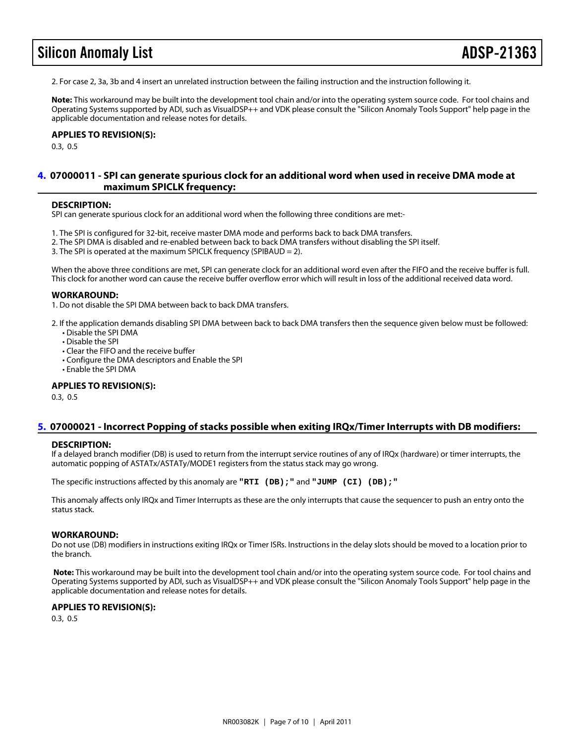# Silicon Anomaly List **ADSP-213**

2. For case 2, 3a, 3b and 4 insert an unrelated instruction between the failing instruction and the instruction following it.

Note: This workaround may be built into the development tool chain and/or into the operating system source code. For tool chains and Operating Systems supported by ADI, such as VisualDSP++ and VDK please consult the "Silicon Anomaly Tools Support" help page in the applicable documentation and release notes for details.

APPLIES TO REVISION(S): 0.3, 0.5

# <span id="page-6-1"></span>[4.](#page-1-3) 07000011 -SPI can generate spurious clock for an additional word when used in receive DMA mode at maximum SPICLK frequency:

#### DESCRIPTION:

SPI can generate spurious clock for an additional word when the following three conditions are met:-

- 1. The SPI is configured for 32-bit, receive master DMA mode and performs back to back DMA transfers.
- 2. The SPI DMA is disabled and re-enabled between back to back DMA transfers without disabling the SPI itself.
- 3. The SPI is operated at the maximum SPICLK frequency (SPIBAUD = 2).

When the above three conditions are met, SPI can generate clock for an additional word even after the FIFO and the receive buffer is full. This clock for another word can cause the receive buffer overflow error which will result in loss of the additional received data word.

#### WORKAROUND:

1. Do not disable the SPI DMA between back to back DMA transfers.

- 2. If the application demands disabling SPI DMA between back to back DMA transfers then the sequence given below must be followed: • Disable the SPI DMA
	- Disable the SPI
	- Clear the FIFO and the receive buffer
	- Configure the DMA descriptors and Enable the SPI
	- Enable the SPI DMA

#### APPLIES TO REVISION(S):

0.3, 0.5

# <span id="page-6-0"></span>[5.](#page-1-4) 07000021 - Incorrect Popping of stacks possible when exiting IRQx/Timer Interrupts with DB modifiers:

#### DESCRIPTION:

If a delayed branch modifier (DB) is used to return from the interrupt service routines of any of IRQx (hardware) or timer interrupts, the automatic popping of ASTATx/ASTATy/MODE1 registers from the status stack may go wrong.

The specific instructions affected by this anomaly are "RTI (DB);" and "JUMP (CI) (DB);"

This anomaly affects only IRQx and Timer Interrupts as these are the only interrupts that cause the sequencer to push an entry onto the status stack.

#### WORKAROUND:

Do not use (DB) modifiers in instructions exiting IRQx or Timer ISRs. Instructions in the delay slots should be moved to a location prior to the branch.

Note: This workaround may be built into the development tool chain and/or into the operating system source code. For tool chains and Operating Systems supported by ADI, such as VisualDSP++ and VDK please consult the "Silicon Anomaly Tools Support" help page in the applicable documentation and release notes for details.

APPLIES TO REVISION(S): 0.3, 0.5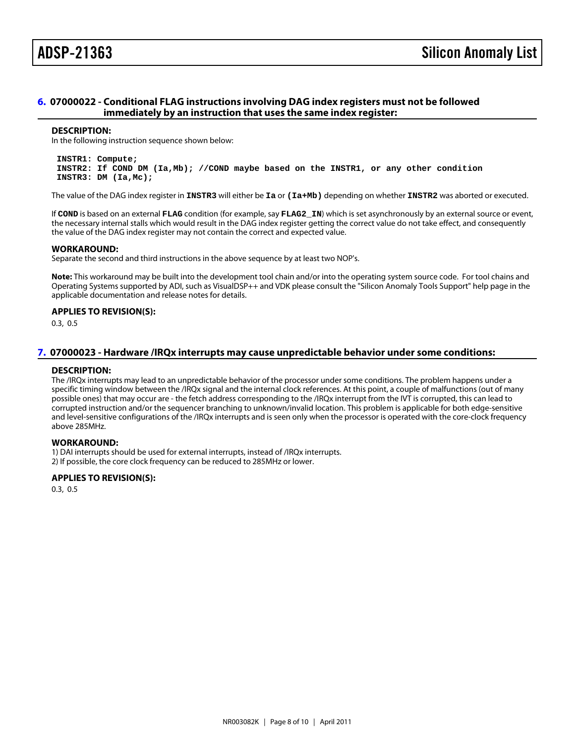# <span id="page-7-0"></span>[6.](#page-1-5) 07000022 - Conditional FLAG instructions involving DAG index registers must not be followed immediately by an instruction that uses the same index register:

#### DESCRIPTION:

In the following instruction sequence shown below:

 INSTR1: Compute; INSTR2: If COND DM (Ia,Mb); //COND maybe based on the INSTR1, or any other condition INSTR3: DM (Ia,Mc);

The value of the DAG index register in INSTR3 will either be Ia or (Ia+Mb) depending on whether INSTR2 was aborted or executed.

If COND is based on an external FLAG condition (for example, say FLAG2\_IN) which is set asynchronously by an external source or event, the necessary internal stalls which would result in the DAG index register getting the correct value do not take effect, and consequently the value of the DAG index register may not contain the correct and expected value.

#### WORKAROUND:

Separate the second and third instructions in the above sequence by at least two NOP's.

Note: This workaround may be built into the development tool chain and/or into the operating system source code. For tool chains and Operating Systems supported by ADI, such as VisualDSP++ and VDK please consult the "Silicon Anomaly Tools Support" help page in the applicable documentation and release notes for details.

# APPLIES TO REVISION(S):

0.3, 0.5

# <span id="page-7-1"></span>[7.](#page-1-6) 07000023 - Hardware /IRQx interrupts may cause unpredictable behavior under some conditions:

#### DESCRIPTION:

The /IRQx interrupts may lead to an unpredictable behavior of the processor under some conditions. The problem happens under a specific timing window between the /IRQx signal and the internal clock references. At this point, a couple of malfunctions (out of many possible ones) that may occur are - the fetch address corresponding to the /IRQx interrupt from the IVT is corrupted, this can lead to corrupted instruction and/or the sequencer branching to unknown/invalid location. This problem is applicable for both edge-sensitive and level-sensitive configurations of the /IRQx interrupts and is seen only when the processor is operated with the core-clock frequency above 285MHz.

### WORKAROUND:

1) DAI interrupts should be used for external interrupts, instead of /IRQx interrupts.

2) If possible, the core clock frequency can be reduced to 285MHz or lower.

### APPLIES TO REVISION(S):

0.3, 0.5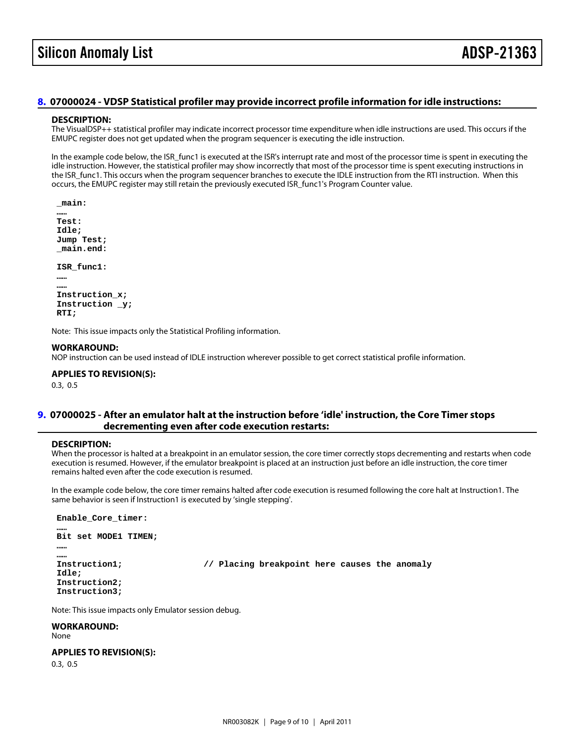### <span id="page-8-0"></span>[8.](#page-1-7) 07000024 - VDSP Statistical profiler may provide incorrect profile information for idle instructions:

#### DESCRIPTION:

The VisualDSP++ statistical profiler may indicate incorrect processor time expenditure when idle instructions are used. This occurs if the EMUPC register does not get updated when the program sequencer is executing the idle instruction.

In the example code below, the ISR\_func1 is executed at the ISR's interrupt rate and most of the processor time is spent in executing the idle instruction. However, the statistical profiler may show incorrectly that most of the processor time is spent executing instructions in the ISR\_func1. This occurs when the program sequencer branches to execute the IDLE instruction from the RTI instruction. When this occurs, the EMUPC register may still retain the previously executed ISR\_func1's Program Counter value.

\_main:

 …… Test: Idle; Jump Test; \_main.end:

ISR\_func1:

 …… …… Instruction\_x; Instruction \_y; RTI;

Note: This issue impacts only the Statistical Profiling information.

#### WORKAROUND:

NOP instruction can be used instead of IDLE instruction wherever possible to get correct statistical profile information.

APPLIES TO REVISION(S):

0.3, 0.5

# <span id="page-8-1"></span>[9.](#page-1-8) 07000025 - After an emulator halt at the instruction before 'idle' instruction, the Core Timer stops decrementing even after code execution restarts:

### DESCRIPTION:

When the processor is halted at a breakpoint in an emulator session, the core timer correctly stops decrementing and restarts when code execution is resumed. However, if the emulator breakpoint is placed at an instruction just before an idle instruction, the core timer remains halted even after the code execution is resumed.

In the example code below, the core timer remains halted after code execution is resumed following the core halt at Instruction1. The same behavior is seen if Instruction1 is executed by 'single stepping'.

Enable\_Core\_timer:

Bit set MODE1 TIMEN;

 …… ……

……

Instruction1; *// Placing breakpoint here causes the anomaly* 

 Idle; Instruction2; Instruction3;

Note: This issue impacts only Emulator session debug.

WORKAROUND: None

APPLIES TO REVISION(S): 0.3, 0.5